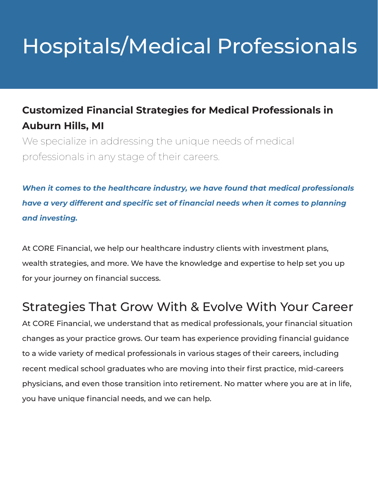# Hospitals/Medical Professionals

#### **Customized Financial Strategies for Medical Professionals in Auburn Hills, MI**

We specialize in addressing the unique needs of medical professionals in any stage of their careers.

*When it comes to the healthcare industry, we have found that medical professionals have a very different and specific set of financial needs when it comes to planning and investing.*

At CORE Financial, we help our healthcare industry clients with investment plans, wealth strategies, and more. We have the knowledge and expertise to help set you up for your journey on financial success.

### Strategies That Grow With & Evolve With Your Career

At CORE Financial, we understand that as medical professionals, your financial situation changes as your practice grows. Our team has experience providing financial guidance to a wide variety of medical professionals in various stages of their careers, including recent medical school graduates who are moving into their first practice, mid-careers physicians, and even those transition into retirement. No matter where you are at in life, you have unique financial needs, and we can help.